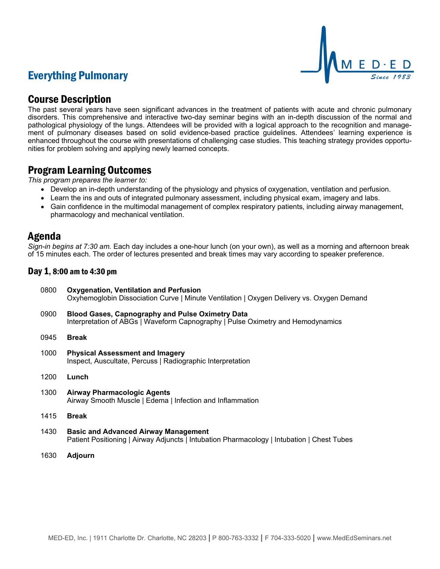# Everything Pulmonary



## Course Description

The past several years have seen significant advances in the treatment of patients with acute and chronic pulmonary disorders. This comprehensive and interactive two-day seminar begins with an in-depth discussion of the normal and pathological physiology of the lungs. Attendees will be provided with a logical approach to the recognition and management of pulmonary diseases based on solid evidence-based practice guidelines. Attendees' learning experience is enhanced throughout the course with presentations of challenging case studies. This teaching strategy provides opportunities for problem solving and applying newly learned concepts.

### Program Learning Outcomes

*This program prepares the learner to:*

- Develop an in-depth understanding of the physiology and physics of oxygenation, ventilation and perfusion.
- Learn the ins and outs of integrated pulmonary assessment, including physical exam, imagery and labs.
- Gain confidence in the multimodal management of complex respiratory patients, including airway management, pharmacology and mechanical ventilation.

### Agenda

*Sign-in begins at 7:30 am.* Each day includes a one-hour lunch (on your own), as well as a morning and afternoon break of 15 minutes each. The order of lectures presented and break times may vary according to speaker preference.

### Day 1, 8:00 am to 4:30 pm

- 0800 **Oxygenation, Ventilation and Perfusion** Oxyhemoglobin Dissociation Curve | Minute Ventilation | Oxygen Delivery vs. Oxygen Demand
- 0900 **Blood Gases, Capnography and Pulse Oximetry Data** Interpretation of ABGs | Waveform Capnography | Pulse Oximetry and Hemodynamics
- 0945 **Break**
- 1000 **Physical Assessment and Imagery** Inspect, Auscultate, Percuss | Radiographic Interpretation
- 1200 **Lunch**
- 1300 **Airway Pharmacologic Agents** Airway Smooth Muscle | Edema | Infection and Inflammation
- 1415 **Break**
- 1430 **Basic and Advanced Airway Management** Patient Positioning | Airway Adjuncts | Intubation Pharmacology | Intubation | Chest Tubes
- 1630 **Adjourn**